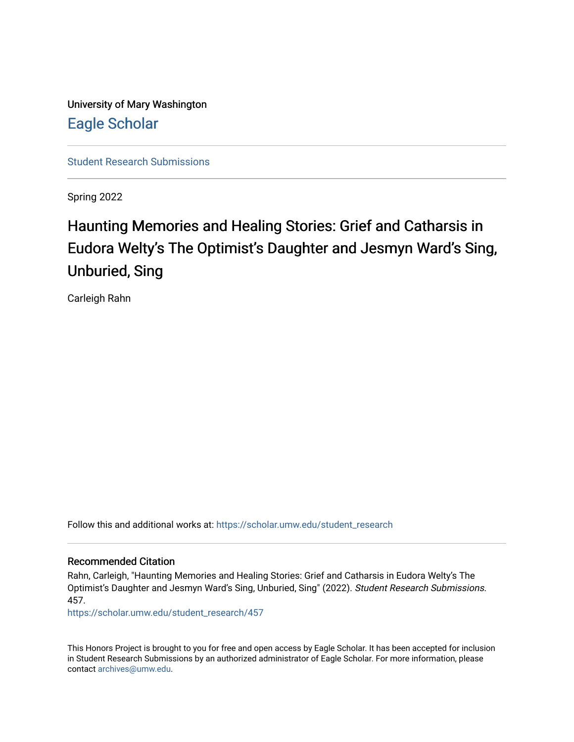University of Mary Washington [Eagle Scholar](https://scholar.umw.edu/) 

[Student Research Submissions](https://scholar.umw.edu/student_research) 

Spring 2022

## Haunting Memories and Healing Stories: Grief and Catharsis in Eudora Welty's The Optimist's Daughter and Jesmyn Ward's Sing, Unburied, Sing

Carleigh Rahn

Follow this and additional works at: [https://scholar.umw.edu/student\\_research](https://scholar.umw.edu/student_research?utm_source=scholar.umw.edu%2Fstudent_research%2F457&utm_medium=PDF&utm_campaign=PDFCoverPages)

## Recommended Citation

Rahn, Carleigh, "Haunting Memories and Healing Stories: Grief and Catharsis in Eudora Welty's The Optimist's Daughter and Jesmyn Ward's Sing, Unburied, Sing" (2022). Student Research Submissions. 457.

[https://scholar.umw.edu/student\\_research/457](https://scholar.umw.edu/student_research/457?utm_source=scholar.umw.edu%2Fstudent_research%2F457&utm_medium=PDF&utm_campaign=PDFCoverPages)

This Honors Project is brought to you for free and open access by Eagle Scholar. It has been accepted for inclusion in Student Research Submissions by an authorized administrator of Eagle Scholar. For more information, please contact [archives@umw.edu](mailto:archives@umw.edu).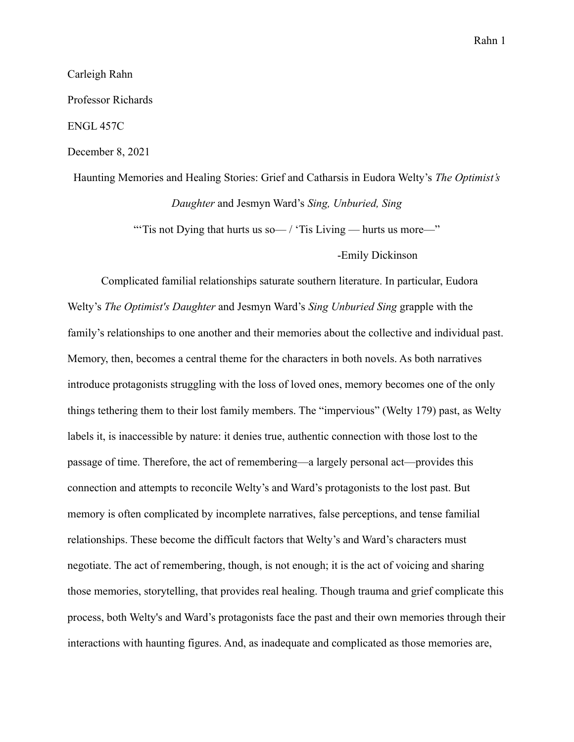Carleigh Rahn

Professor Richards

ENGL 457C

December 8, 2021

Haunting Memories and Healing Stories: Grief and Catharsis in Eudora Welty's *The Optimist's Daughter* and Jesmyn Ward's *Sing, Unburied, Sing* "Tis not Dying that hurts us so—/ 'Tis Living — hurts us more—"

-Emily Dickinson

Complicated familial relationships saturate southern literature. In particular, Eudora Welty's *The Optimist's Daughter* and Jesmyn Ward's *Sing Unburied Sing* grapple with the family's relationships to one another and their memories about the collective and individual past. Memory, then, becomes a central theme for the characters in both novels. As both narratives introduce protagonists struggling with the loss of loved ones, memory becomes one of the only things tethering them to their lost family members. The "impervious" (Welty 179) past, as Welty labels it, is inaccessible by nature: it denies true, authentic connection with those lost to the passage of time. Therefore, the act of remembering—a largely personal act—provides this connection and attempts to reconcile Welty's and Ward's protagonists to the lost past. But memory is often complicated by incomplete narratives, false perceptions, and tense familial relationships. These become the difficult factors that Welty's and Ward's characters must negotiate. The act of remembering, though, is not enough; it is the act of voicing and sharing those memories, storytelling, that provides real healing. Though trauma and grief complicate this process, both Welty's and Ward's protagonists face the past and their own memories through their interactions with haunting figures. And, as inadequate and complicated as those memories are,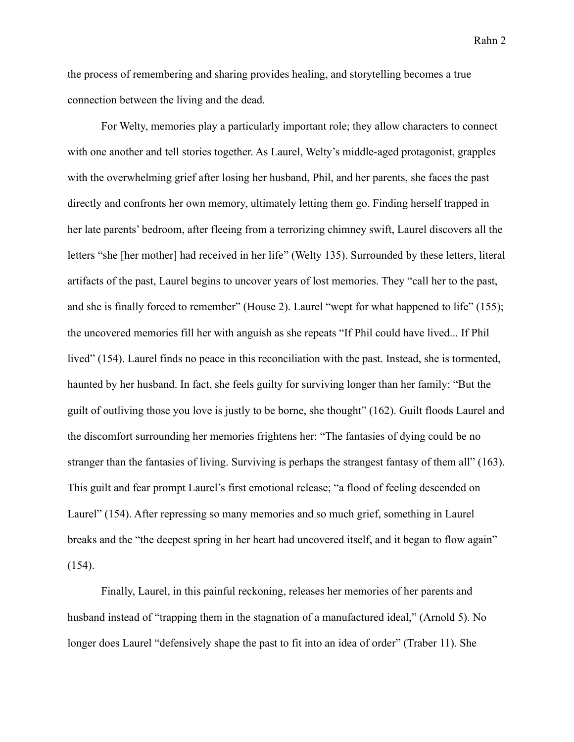the process of remembering and sharing provides healing, and storytelling becomes a true connection between the living and the dead.

For Welty, memories play a particularly important role; they allow characters to connect with one another and tell stories together. As Laurel, Welty's middle-aged protagonist, grapples with the overwhelming grief after losing her husband, Phil, and her parents, she faces the past directly and confronts her own memory, ultimately letting them go. Finding herself trapped in her late parents' bedroom, after fleeing from a terrorizing chimney swift, Laurel discovers all the letters "she [her mother] had received in her life" (Welty 135). Surrounded by these letters, literal artifacts of the past, Laurel begins to uncover years of lost memories. They "call her to the past, and she is finally forced to remember" (House 2). Laurel "wept for what happened to life" (155); the uncovered memories fill her with anguish as she repeats "If Phil could have lived... If Phil lived" (154). Laurel finds no peace in this reconciliation with the past. Instead, she is tormented, haunted by her husband. In fact, she feels guilty for surviving longer than her family: "But the guilt of outliving those you love is justly to be borne, she thought" (162). Guilt floods Laurel and the discomfort surrounding her memories frightens her: "The fantasies of dying could be no stranger than the fantasies of living. Surviving is perhaps the strangest fantasy of them all" (163). This guilt and fear prompt Laurel's first emotional release; "a flood of feeling descended on Laurel" (154). After repressing so many memories and so much grief, something in Laurel breaks and the "the deepest spring in her heart had uncovered itself, and it began to flow again" (154).

Finally, Laurel, in this painful reckoning, releases her memories of her parents and husband instead of "trapping them in the stagnation of a manufactured ideal," (Arnold 5). No longer does Laurel "defensively shape the past to fit into an idea of order" (Traber 11). She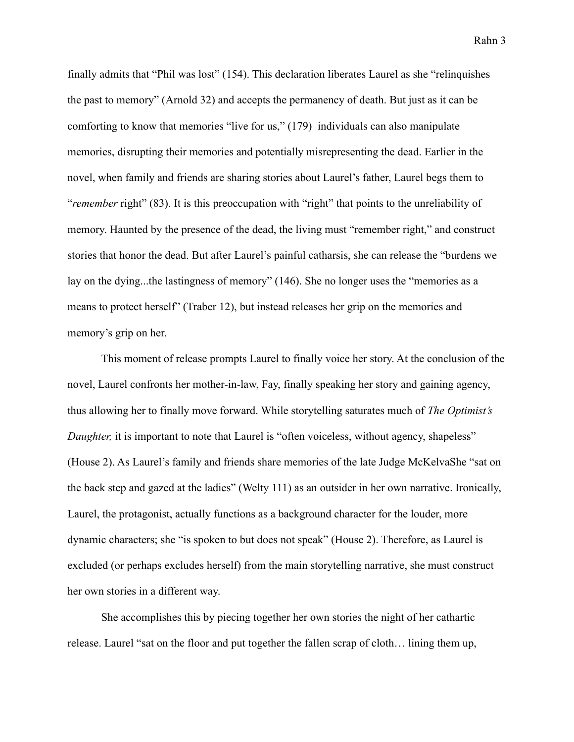finally admits that "Phil was lost" (154). This declaration liberates Laurel as she "relinquishes the past to memory" (Arnold 32) and accepts the permanency of death. But just as it can be comforting to know that memories "live for us," (179) individuals can also manipulate memories, disrupting their memories and potentially misrepresenting the dead. Earlier in the novel, when family and friends are sharing stories about Laurel's father, Laurel begs them to "*remember* right" (83). It is this preoccupation with "right" that points to the unreliability of memory. Haunted by the presence of the dead, the living must "remember right," and construct stories that honor the dead. But after Laurel's painful catharsis, she can release the "burdens we lay on the dying...the lastingness of memory" (146). She no longer uses the "memories as a means to protect herself" (Traber 12), but instead releases her grip on the memories and memory's grip on her.

This moment of release prompts Laurel to finally voice her story. At the conclusion of the novel, Laurel confronts her mother-in-law, Fay, finally speaking her story and gaining agency, thus allowing her to finally move forward. While storytelling saturates much of *The Optimist's Daughter,* it is important to note that Laurel is "often voiceless, without agency, shapeless" (House 2). As Laurel's family and friends share memories of the late Judge McKelvaShe "sat on the back step and gazed at the ladies" (Welty 111) as an outsider in her own narrative. Ironically, Laurel, the protagonist, actually functions as a background character for the louder, more dynamic characters; she "is spoken to but does not speak" (House 2). Therefore, as Laurel is excluded (or perhaps excludes herself) from the main storytelling narrative, she must construct her own stories in a different way.

She accomplishes this by piecing together her own stories the night of her cathartic release. Laurel "sat on the floor and put together the fallen scrap of cloth… lining them up,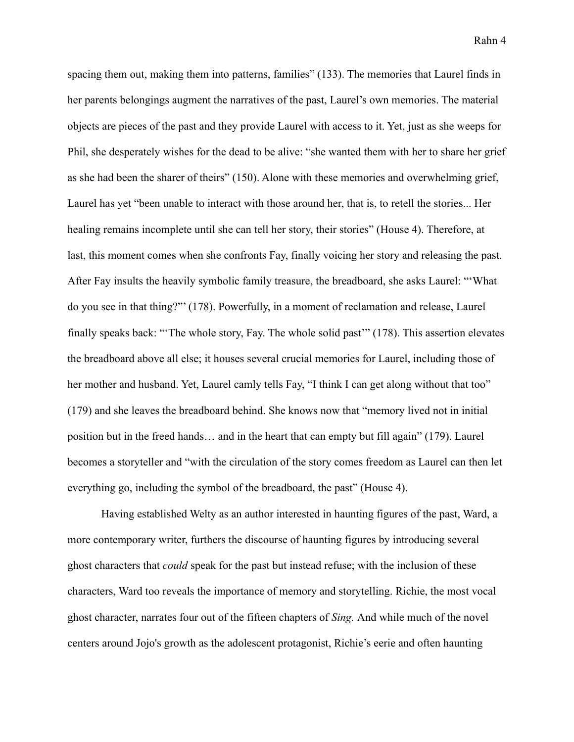spacing them out, making them into patterns, families" (133). The memories that Laurel finds in her parents belongings augment the narratives of the past, Laurel's own memories. The material objects are pieces of the past and they provide Laurel with access to it. Yet, just as she weeps for Phil, she desperately wishes for the dead to be alive: "she wanted them with her to share her grief as she had been the sharer of theirs" (150). Alone with these memories and overwhelming grief, Laurel has yet "been unable to interact with those around her, that is, to retell the stories... Her healing remains incomplete until she can tell her story, their stories" (House 4). Therefore, at last, this moment comes when she confronts Fay, finally voicing her story and releasing the past. After Fay insults the heavily symbolic family treasure, the breadboard, she asks Laurel: "'What do you see in that thing?"' (178). Powerfully, in a moment of reclamation and release, Laurel finally speaks back: "'The whole story, Fay. The whole solid past'" (178). This assertion elevates the breadboard above all else; it houses several crucial memories for Laurel, including those of her mother and husband. Yet, Laurel camly tells Fay, "I think I can get along without that too" (179) and she leaves the breadboard behind. She knows now that "memory lived not in initial position but in the freed hands… and in the heart that can empty but fill again" (179). Laurel becomes a storyteller and "with the circulation of the story comes freedom as Laurel can then let everything go, including the symbol of the breadboard, the past" (House 4).

Having established Welty as an author interested in haunting figures of the past, Ward, a more contemporary writer, furthers the discourse of haunting figures by introducing several ghost characters that *could* speak for the past but instead refuse; with the inclusion of these characters, Ward too reveals the importance of memory and storytelling. Richie, the most vocal ghost character, narrates four out of the fifteen chapters of *Sing.* And while much of the novel centers around Jojo's growth as the adolescent protagonist, Richie's eerie and often haunting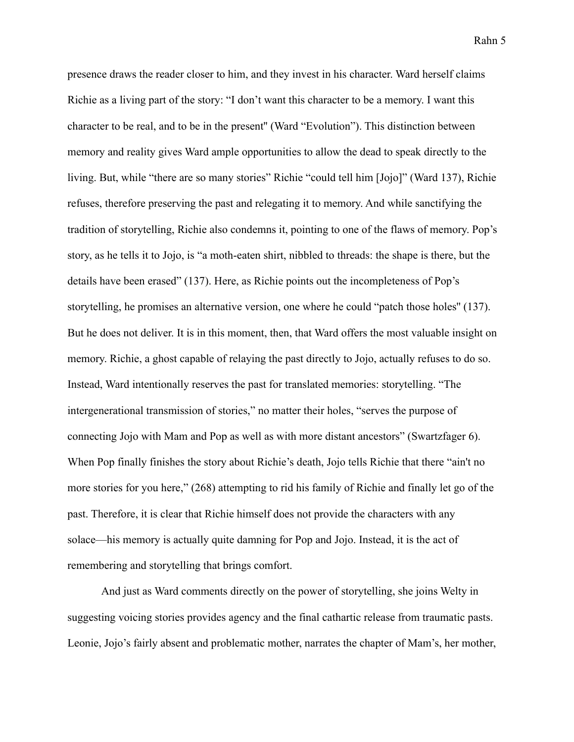presence draws the reader closer to him, and they invest in his character. Ward herself claims Richie as a living part of the story: "I don't want this character to be a memory. I want this character to be real, and to be in the present'' (Ward "Evolution"). This distinction between memory and reality gives Ward ample opportunities to allow the dead to speak directly to the living. But, while "there are so many stories" Richie "could tell him [Jojo]" (Ward 137), Richie refuses, therefore preserving the past and relegating it to memory. And while sanctifying the tradition of storytelling, Richie also condemns it, pointing to one of the flaws of memory. Pop's story, as he tells it to Jojo, is "a moth-eaten shirt, nibbled to threads: the shape is there, but the details have been erased" (137). Here, as Richie points out the incompleteness of Pop's storytelling, he promises an alternative version, one where he could "patch those holes'' (137). But he does not deliver. It is in this moment, then, that Ward offers the most valuable insight on memory. Richie, a ghost capable of relaying the past directly to Jojo, actually refuses to do so. Instead, Ward intentionally reserves the past for translated memories: storytelling. "The intergenerational transmission of stories," no matter their holes, "serves the purpose of connecting Jojo with Mam and Pop as well as with more distant ancestors" (Swartzfager 6). When Pop finally finishes the story about Richie's death, Jojo tells Richie that there "ain't no more stories for you here," (268) attempting to rid his family of Richie and finally let go of the past. Therefore, it is clear that Richie himself does not provide the characters with any solace—his memory is actually quite damning for Pop and Jojo. Instead, it is the act of remembering and storytelling that brings comfort.

And just as Ward comments directly on the power of storytelling, she joins Welty in suggesting voicing stories provides agency and the final cathartic release from traumatic pasts. Leonie, Jojo's fairly absent and problematic mother, narrates the chapter of Mam's, her mother,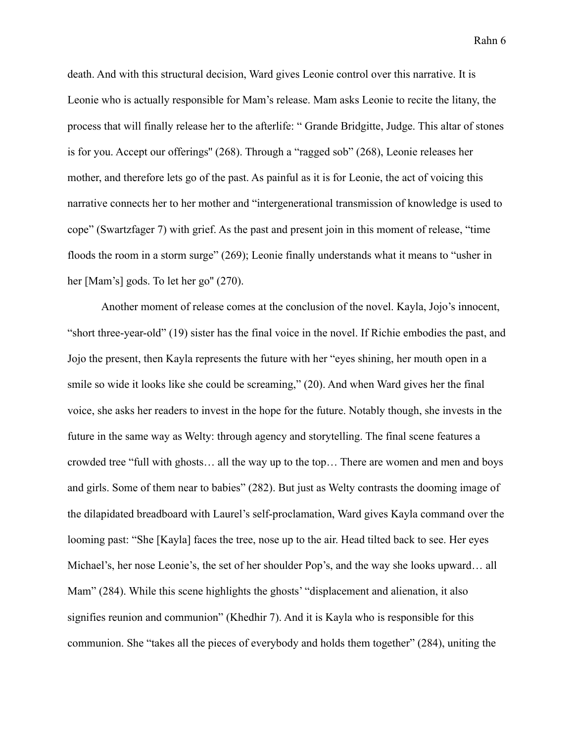death. And with this structural decision, Ward gives Leonie control over this narrative. It is Leonie who is actually responsible for Mam's release. Mam asks Leonie to recite the litany, the process that will finally release her to the afterlife: " Grande Bridgitte, Judge. This altar of stones is for you. Accept our offerings'' (268). Through a "ragged sob" (268), Leonie releases her mother, and therefore lets go of the past. As painful as it is for Leonie, the act of voicing this narrative connects her to her mother and "intergenerational transmission of knowledge is used to cope" (Swartzfager 7) with grief. As the past and present join in this moment of release, "time floods the room in a storm surge" (269); Leonie finally understands what it means to "usher in her [Mam's] gods. To let her go" (270).

Another moment of release comes at the conclusion of the novel. Kayla, Jojo's innocent, "short three-year-old" (19) sister has the final voice in the novel. If Richie embodies the past, and Jojo the present, then Kayla represents the future with her "eyes shining, her mouth open in a smile so wide it looks like she could be screaming," (20). And when Ward gives her the final voice, she asks her readers to invest in the hope for the future. Notably though, she invests in the future in the same way as Welty: through agency and storytelling. The final scene features a crowded tree "full with ghosts… all the way up to the top… There are women and men and boys and girls. Some of them near to babies" (282). But just as Welty contrasts the dooming image of the dilapidated breadboard with Laurel's self-proclamation, Ward gives Kayla command over the looming past: "She [Kayla] faces the tree, nose up to the air. Head tilted back to see. Her eyes Michael's, her nose Leonie's, the set of her shoulder Pop's, and the way she looks upward… all Mam" (284). While this scene highlights the ghosts' "displacement and alienation, it also signifies reunion and communion" (Khedhir 7). And it is Kayla who is responsible for this communion. She "takes all the pieces of everybody and holds them together" (284), uniting the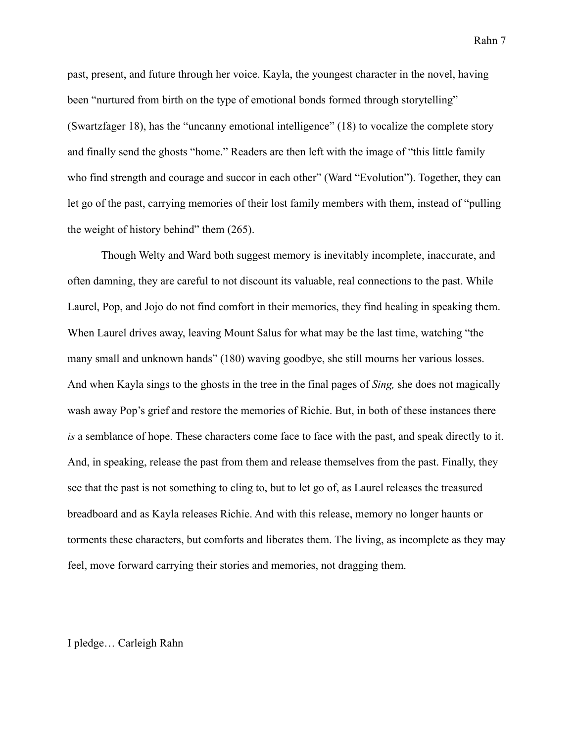past, present, and future through her voice. Kayla, the youngest character in the novel, having been "nurtured from birth on the type of emotional bonds formed through storytelling" (Swartzfager 18), has the "uncanny emotional intelligence" (18) to vocalize the complete story and finally send the ghosts "home." Readers are then left with the image of "this little family who find strength and courage and succor in each other" (Ward "Evolution"). Together, they can let go of the past, carrying memories of their lost family members with them, instead of "pulling the weight of history behind" them (265).

Though Welty and Ward both suggest memory is inevitably incomplete, inaccurate, and often damning, they are careful to not discount its valuable, real connections to the past. While Laurel, Pop, and Jojo do not find comfort in their memories, they find healing in speaking them. When Laurel drives away, leaving Mount Salus for what may be the last time, watching "the many small and unknown hands" (180) waving goodbye, she still mourns her various losses. And when Kayla sings to the ghosts in the tree in the final pages of *Sing,* she does not magically wash away Pop's grief and restore the memories of Richie. But, in both of these instances there *is* a semblance of hope. These characters come face to face with the past, and speak directly to it. And, in speaking, release the past from them and release themselves from the past. Finally, they see that the past is not something to cling to, but to let go of, as Laurel releases the treasured breadboard and as Kayla releases Richie. And with this release, memory no longer haunts or torments these characters, but comforts and liberates them. The living, as incomplete as they may feel, move forward carrying their stories and memories, not dragging them.

## I pledge… Carleigh Rahn